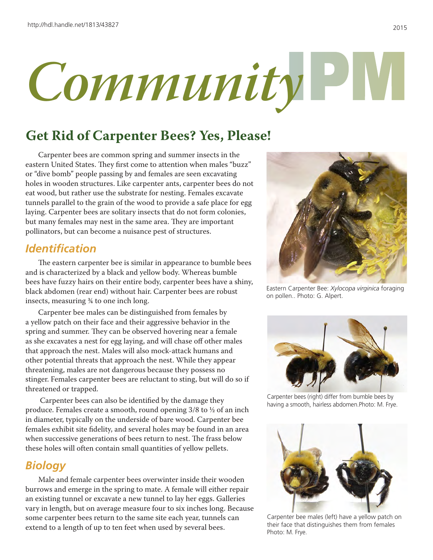

# **Get Rid of Carpenter Bees? Yes, Please!**

Carpenter bees are common spring and summer insects in the eastern United States. They first come to attention when males "buzz" or "dive bomb" people passing by and females are seen excavating holes in wooden structures. Like carpenter ants, carpenter bees do not eat wood, but rather use the substrate for nesting. Females excavate tunnels parallel to the grain of the wood to provide a safe place for egg laying. Carpenter bees are solitary insects that do not form colonies, but many females may nest in the same area. They are important pollinators, but can become a nuisance pest of structures.

## *Identification*

The eastern carpenter bee is similar in appearance to bumble bees and is characterized by a black and yellow body. Whereas bumble bees have fuzzy hairs on their entire body, carpenter bees have a shiny, black abdomen (rear end) without hair. Carpenter bees are robust insects, measuring ¾ to one inch long.

Carpenter bee males can be distinguished from females by a yellow patch on their face and their aggressive behavior in the spring and summer. They can be observed hovering near a female as she excavates a nest for egg laying, and will chase off other males that approach the nest. Males will also mock-attack humans and other potential threats that approach the nest. While they appear threatening, males are not dangerous because they possess no stinger. Females carpenter bees are reluctant to sting, but will do so if threatened or trapped.

 Carpenter bees can also be identified by the damage they produce. Females create a smooth, round opening 3/8 to ½ of an inch in diameter, typically on the underside of bare wood. Carpenter bee females exhibit site fidelity, and several holes may be found in an area when successive generations of bees return to nest. The frass below these holes will often contain small quantities of yellow pellets.

### *Biology*

Male and female carpenter bees overwinter inside their wooden burrows and emerge in the spring to mate. A female will either repair an existing tunnel or excavate a new tunnel to lay her eggs. Galleries vary in length, but on average measure four to six inches long. Because some carpenter bees return to the same site each year, tunnels can extend to a length of up to ten feet when used by several bees.



Eastern Carpenter Bee: *Xylocopa virginica* foraging on pollen.. Photo: G. Alpert.



Carpenter bees (right) differ from bumble bees by having a smooth, hairless abdomen.Photo: M. Frye.



Carpenter bee males (left) have a yellow patch on their face that distinguishes them from females Photo: M. Frye.